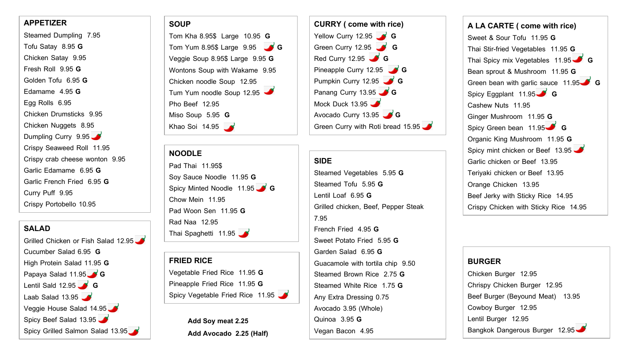#### **APPETIZER**

Steamed Dumpling 7.95

Tofu Satay 8.95 **G**

Chicken Satay 9.95

Fresh Roll 9.95 **G**

Golden Tofu 6.95 **G**

Edamame 4.95 **G**

Egg Rolls 6.95

Chicken Drumsticks 9.95

Chicken Nuggets 8.95 Dumpling Curry 9.95 Crispy Seaweed Roll 11.95 Crispy crab cheese wonton 9.95

Garlic Edamame 6.95 **G** Garlic French Fried 6.95 **G**

Curry Puff 9.95

Crispy Portobello 10.95

#### **SALAD**

Grilled Chicken or Fish Salad 12.95 Cucumber Salad 6.95 **G** High Protein Salad 11.95 **G** Papaya Salad 11.95 **G G** Lentil Sald 12.95 **G G** Laab Salad 13.95 Veggie House Salad 14.95 Spicy Beef Salad 13.95 Spicy Grilled Salmon Salad 13.95

# **SOUP**

Tom Kha 8.95\$ Large 10.95 **G** Tom Yum 8.95\$ Large 9.95 **G** Veggie Soup 8.95\$ Large 9.95 **G** Wontons Soup with Wakame 9.95 Chicken noodle Soup 12.95 Tum Yum noodle Soup 12.95 Pho Beef 12.95 Miso Soup 5.95 **G** Khao Soi 14.95

#### **NOODLE**

Pad Thai 11.95\$ Soy Sauce Noodle 11.95 **G** Spicy Minted Noodle 11.95 **G G** Chow Mein 11.95 Pad Woon Sen 11.95 **G** Rad Naa 12.95 Thai Spaghetti 11.95

**FRIED RICE** Vegetable Fried Rice 11.95 **G** Pineapple Fried Rice 11.95 **G** Spicy Vegetable Fried Rice 11.95

> **Add Soy meat 2.25 Add Avocado 2.25 (Half)**



#### **SIDE**

Steamed Vegetables 5.95 **G** Steamed Tofu 5.95 **G** Lentil Loaf 6.95 **G** Grilled chicken, Beef, Pepper Steak 7.95 French Fried 4.95 **G** Sweet Potato Fried 5.95 **G** Garden Salad 6.95 **G** Guacamole with tortila chip 9.50 Steamed Brown Rice 2.75 **G** Steamed White Rice 1.75 **G** Any Extra Dressing 0.75 Avocado 3.95 (Whole) Quinoa 3.95 **G** Vegan Bacon 4.95

**A LA CARTE ( come with rice)** Sweet & Sour Tofu 11.95 **G** Thai Stir-fried Vegetables 11.95 **G** Thai Spicy mix Vegetables 11.95 **G** Bean sprout & Mushroom 11.95 **G** Green bean with garlic sauce 11.95 **G G** Spicy Eggplant 11.95 **G** Cashew Nuts 11.95 Ginger Mushroom 11.95 **G** Spicy Green bean 11.95 **G** Organic King Mushroom 11.95 **G** Spicy mint chicken or Beef 13.95 Garlic chicken or Beef 13.95 Teriyaki chicken or Beef 13.95 Orange Chicken 13.95 Beef Jerky with Sticky Rice 14.95 Crispy Chicken with Sticky Rice 14.95

### **BURGER**

Chicken Burger 12.95 Chrispy Chicken Burger 12.95 Beef Burger (Beyound Meat) 13.95 Cowboy Burger 12.95 Lentil Burger 12.95 Bangkok Dangerous Burger 12.95